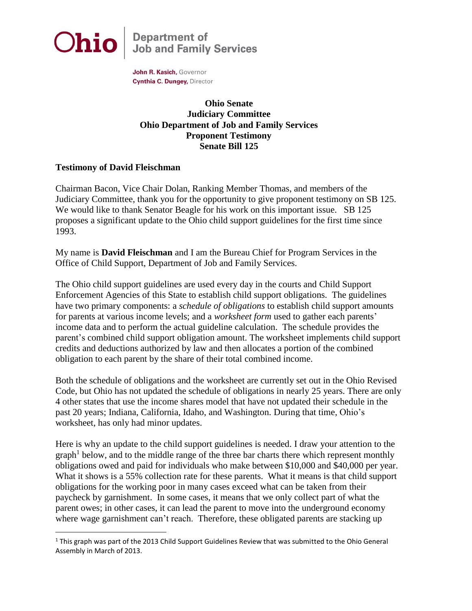

 $\overline{a}$ 

**Department of<br>Job and Family Services** 

John R. Kasich, Governor Cynthia C. Dungey, Director

## **Ohio Senate Judiciary Committee Ohio Department of Job and Family Services Proponent Testimony Senate Bill 125**

## **Testimony of David Fleischman**

Chairman Bacon, Vice Chair Dolan, Ranking Member Thomas, and members of the Judiciary Committee, thank you for the opportunity to give proponent testimony on SB 125. We would like to thank Senator Beagle for his work on this important issue. SB 125 proposes a significant update to the Ohio child support guidelines for the first time since 1993.

My name is **David Fleischman** and I am the Bureau Chief for Program Services in the Office of Child Support, Department of Job and Family Services.

The Ohio child support guidelines are used every day in the courts and Child Support Enforcement Agencies of this State to establish child support obligations. The guidelines have two primary components: a *schedule of obligations* to establish child support amounts for parents at various income levels; and a *worksheet form* used to gather each parents' income data and to perform the actual guideline calculation. The schedule provides the parent's combined child support obligation amount. The worksheet implements child support credits and deductions authorized by law and then allocates a portion of the combined obligation to each parent by the share of their total combined income.

Both the schedule of obligations and the worksheet are currently set out in the Ohio Revised Code, but Ohio has not updated the schedule of obligations in nearly 25 years. There are only 4 other states that use the income shares model that have not updated their schedule in the past 20 years; Indiana, California, Idaho, and Washington. During that time, Ohio's worksheet, has only had minor updates.

Here is why an update to the child support guidelines is needed. I draw your attention to the graph<sup>1</sup> below, and to the middle range of the three bar charts there which represent monthly obligations owed and paid for individuals who make between \$10,000 and \$40,000 per year. What it shows is a 55% collection rate for these parents. What it means is that child support obligations for the working poor in many cases exceed what can be taken from their paycheck by garnishment. In some cases, it means that we only collect part of what the parent owes; in other cases, it can lead the parent to move into the underground economy where wage garnishment can't reach. Therefore, these obligated parents are stacking up

 $1$  This graph was part of the 2013 Child Support Guidelines Review that was submitted to the Ohio General Assembly in March of 2013.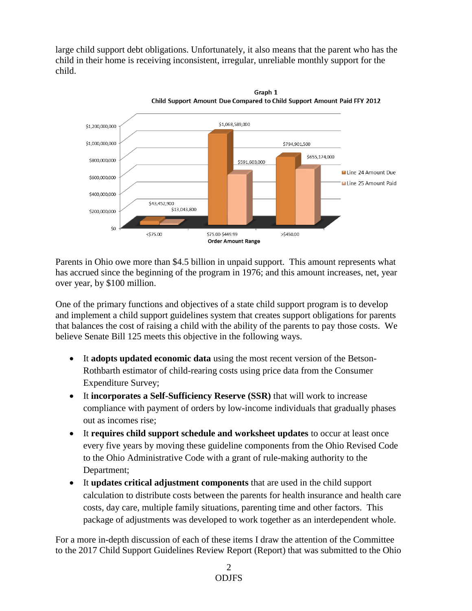large child support debt obligations. Unfortunately, it also means that the parent who has the child in their home is receiving inconsistent, irregular, unreliable monthly support for the child.



Parents in Ohio owe more than \$4.5 billion in unpaid support. This amount represents what has accrued since the beginning of the program in 1976; and this amount increases, net, year over year, by \$100 million.

One of the primary functions and objectives of a state child support program is to develop and implement a child support guidelines system that creates support obligations for parents that balances the cost of raising a child with the ability of the parents to pay those costs. We believe Senate Bill 125 meets this objective in the following ways.

- It **adopts updated economic data** using the most recent version of the Betson-Rothbarth estimator of child-rearing costs using price data from the Consumer Expenditure Survey;
- It **incorporates a Self-Sufficiency Reserve (SSR)** that will work to increase compliance with payment of orders by low-income individuals that gradually phases out as incomes rise;
- It **requires child support schedule and worksheet updates** to occur at least once every five years by moving these guideline components from the Ohio Revised Code to the Ohio Administrative Code with a grant of rule-making authority to the Department;
- It **updates critical adjustment components** that are used in the child support calculation to distribute costs between the parents for health insurance and health care costs, day care, multiple family situations, parenting time and other factors. This package of adjustments was developed to work together as an interdependent whole.

For a more in-depth discussion of each of these items I draw the attention of the Committee to the 2017 Child Support Guidelines Review Report (Report) that was submitted to the Ohio